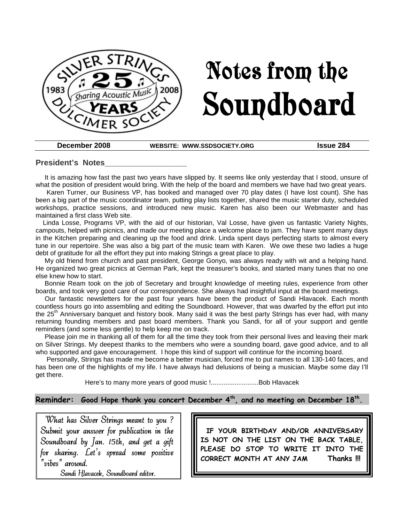

# Notes from the Soundboard

**December 2008 WEBSITE: WWW.SSDSOCIETY.ORG Issue 284**

#### **President's Notes\_\_\_\_\_\_\_\_\_\_\_\_\_\_\_\_**

It is amazing how fast the past two years have slipped by. It seems like only yesterday that I stood, unsure of what the position of president would bring. With the help of the board and members we have had two great years.

Karen Turner, our Business VP, has booked and managed over 70 play dates (I have lost count). She has been a big part of the music coordinator team, putting play lists together, shared the music starter duty, scheduled workshops, practice sessions, and introduced new music. Karen has also been our Webmaster and has maintained a first class Web site.

Linda Losse, Programs VP, with the aid of our historian, Val Losse, have given us fantastic Variety Nights, campouts, helped with picnics, and made our meeting place a welcome place to jam. They have spent many days in the Kitchen preparing and cleaning up the food and drink. Linda spent days perfecting starts to almost every tune in our repertoire. She was also a big part of the music team with Karen. We owe these two ladies a huge debt of gratitude for all the effort they put into making Strings a great place to play.

My old friend from church and past president, George Gonyo, was always ready with wit and a helping hand. He organized two great picnics at German Park, kept the treasurer's books, and started many tunes that no one else knew how to start.

Bonnie Ream took on the job of Secretary and brought knowledge of meeting rules, experience from other boards, and took very good care of our correspondence. She always had insightful input at the board meetings.

Our fantastic newsletters for the past four years have been the product of Sandi Hlavacek. Each month countless hours go into assembling and editing the Soundboard. However, that was dwarfed by the effort put into the 25<sup>th</sup> Anniversary banquet and history book. Many said it was the best party Strings has ever had, with many returning founding members and past board members. Thank you Sandi, for all of your support and gentle reminders (and some less gentle) to help keep me on track.

Please join me in thanking all of them for all the time they took from their personal lives and leaving their mark on Silver Strings. My deepest thanks to the members who were a sounding board, gave good advice, and to all who supported and gave encouragement. I hope this kind of support will continue for the incoming board.

Personally, Strings has made me become a better musician, forced me to put names to all 130-140 faces, and has been one of the highlights of my life. I have always had delusions of being a musician. Maybe some day I'll get there.

Here's to many more years of good music !..........................Bob Hlavacek

#### **Reminder: Good Hope thank you concert December 4th, and no meeting on December 18th .**

What has Silver Strings meant to you ? Submit your answer for publication in the Soundboard by Jan. 15th, and get a gift for sharing. Let's spread some positive "vibes" around.

Sandi Hlavacek, Soundboard editor.

**IF YOUR BIRTHDAY AND/OR ANNIVERSARY IS NOT ON THE LIST ON THE BACK TABLE, PLEASE DO STOP TO WRITE IT INTO THE CORRECT MONTH AT ANY JAM Thanks !!!**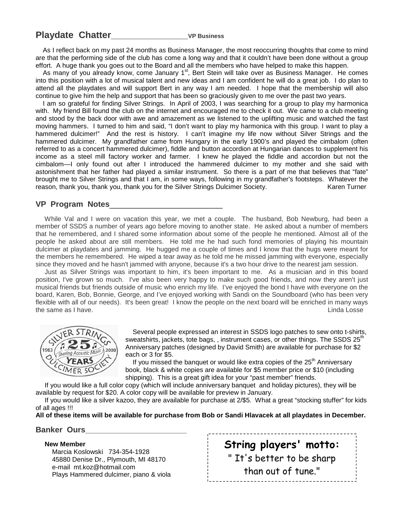## **Playdate Chatter\_\_\_\_\_\_\_\_\_\_\_\_\_\_\_VP Business**

As I reflect back on my past 24 months as Business Manager, the most reoccurring thoughts that come to mind are that the performing side of the club has come a long way and that it couldn't have been done without a group effort. A huge thank you goes out to the Board and all the members who have helped to make this happen.

As many of you already know, come January 1<sup>st</sup>, Bert Stein will take over as Business Manager. He comes into this position with a lot of musical talent and new ideas and I am confident he will do a great job. I do plan to attend all the playdates and will support Bert in any way I am needed. I hope that the membership will also continue to give him the help and support that has been so graciously given to me over the past two years.

I am so grateful for finding Silver Strings. In April of 2003, I was searching for a group to play my harmonica with. My friend Bill found the club on the internet and encouraged me to check it out. We came to a club meeting and stood by the back door with awe and amazement as we listened to the uplifting music and watched the fast moving hammers. I turned to him and said, "I don't want to play my harmonica with this group. I want to play a hammered dulcimer!" And the rest is history. I can't imagine my life now without Silver Strings and the hammered dulcimer. My grandfather came from Hungary in the early 1900's and played the cimbalom (often referred to as a concert hammered dulcimer), fiddle and button accordion at Hungarian dances to supplement his income as a steel mill factory worker and farmer. I knew he played the fiddle and accordion but not the cimbalom—I only found out after I introduced the hammered dulcimer to my mother and she said with astonishment that her father had played a similar instrument. So there is a part of me that believes that "fate" brought me to Silver Strings and that I am, in some ways, following in my grandfather's footsteps. Whatever the reason, thank you, thank you, thank you for the Silver Strings Dulcimer Society. Karen Turner

#### **VP Program Notes**\_\_\_\_\_\_\_\_\_\_\_\_\_\_\_\_\_\_\_\_\_\_

While Val and I were on vacation this year, we met a couple. The husband, Bob Newburg, had been a member of SSDS a number of years ago before moving to another state. He asked about a number of members that he remembered, and I shared some information about some of the people he mentioned. Almost all of the people he asked about are still members. He told me he had such fond memories of playing his mountain dulcimer at playdates and jamming. He hugged me a couple of times and I know that the hugs were meant for the members he remembered. He wiped a tear away as he told me he missed jamming with everyone, especially since they moved and he hasn't jammed with anyone, because it's a two hour drive to the nearest jam session.

Just as Silver Strings was important to him, it's been important to me. As a musician and in this board position, I've grown so much. I've also been very happy to make such good friends, and now they aren't just musical friends but friends outside of music who enrich my life. I've enjoyed the bond I have with everyone on the board, Karen, Bob, Bonnie, George, and I've enjoyed working with Sandi on the Soundboard (who has been very flexible with all of our needs). It's been great! I know the people on the next board will be enriched in many ways the same as I have. The same as I have the same as I have.



Several people expressed an interest in SSDS logo patches to sew onto t-shirts, sweatshirts, jackets, tote bags,, instrument cases, or other things. The SSDS 25<sup>th</sup> Anniversary patches (designed by David Smith) are available for purchase for \$2 each or 3 for \$5.

If you missed the banquet or would like extra copies of the  $25<sup>th</sup>$  Anniversary book, black & white copies are available for \$5 member price or \$10 (including shipping). This is a great gift idea for your "past member" friends.

If you would like a full color copy (which will include anniversary banquet and holiday pictures), they will be available by request for \$20. A color copy will be available for preview in January.

If you would like a silver kazoo, they are available for purchase at 2/\$5. What a great "stocking stuffer" for kids of all ages !!!

**All of these items will be available for purchase from Bob or Sandi Hlavacek at all playdates in December.**

**Banker Ours\_\_\_\_\_\_\_\_\_\_\_\_\_\_\_\_\_\_\_\_\_\_\_**

#### **New Member**

Marcia Koslowski 734-354-1928 45880 Denise Dr., Plymouth, MI 48170 e-mail mt.koz@hotmail.com Plays Hammered dulcimer, piano & viola **String players' motto:** " It's better to be sharp than out of tune."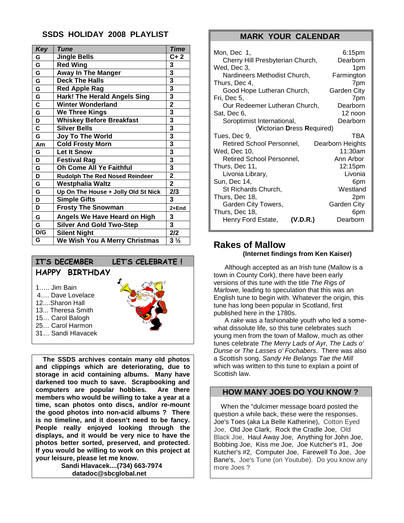## **SSDS HOLIDAY 2008 PLAYLIST**

| <b>Key</b>              | Tune                                  | Time                    |
|-------------------------|---------------------------------------|-------------------------|
| G                       | <b>Jingle Bells</b>                   | $C+2$                   |
| G                       | <b>Red Wing</b>                       | 3                       |
| G                       | <b>Away In The Manger</b>             | 3                       |
| G                       | <b>Deck The Halls</b>                 | 3                       |
| G                       | <b>Red Apple Rag</b>                  | 3                       |
| G                       | <b>Hark! The Herald Angels Sing</b>   | 3                       |
| $\overline{\mathsf{c}}$ | <b>Winter Wonderland</b>              | $\overline{2}$          |
| G                       | <b>We Three Kings</b>                 | 3                       |
| D                       | <b>Whiskey Before Breakfast</b>       | 3                       |
| C                       | <b>Silver Bells</b>                   | 3                       |
| G                       | <b>Joy To The World</b>               | 3                       |
| Am                      | <b>Cold Frosty Morn</b>               | 3                       |
| G                       | <b>Let It Snow</b>                    | 3                       |
| D                       | <b>Festival Rag</b>                   | $\overline{\mathbf{3}}$ |
| G                       | Oh Come All Ye Faithful               | 3                       |
| D                       | <b>Rudolph The Red Nosed Reindeer</b> | $\overline{\mathbf{2}}$ |
| G                       | Westphalia Waltz                      | $\overline{2}$          |
| G                       | Up On The House + Jolly Old St Nick   | 2/3                     |
| D                       | <b>Simple Gifts</b>                   | 3                       |
| D                       | <b>Frosty The Snowman</b>             | 2+End                   |
| G                       | Angels We Have Heard on High          | 3                       |
| G                       | <b>Silver And Gold Two-Step</b>       | 3                       |
| D/G                     | <b>Silent Night</b>                   | 2/2                     |
| G                       | We Wish You A Merry Christmas         | $3\frac{1}{2}$          |



31… Sandi Hlavacek

**The SSDS archives contain many old photos and clippings which are deteriorating, due to storage in acid containing albums. Many have darkened too much to save. Scrapbooking and computers are popular hobbies. Are there members who would be willing to take a year at a time, scan photos onto discs, and/or re-mount the good photos into non-acid albums ? There is no timeline, and it doesn't need to be fancy. People really enjoyed looking through the displays, and it would be very nice to have the photos better sorted, preserved, and protected. If you would be willing to work on this project at your leisure, please let me know.**

> **Sandi Hlavacek....(734) 663-7974 datadoc@sbcglobal.net**

#### **MARK YOUR CALENDAR**

| Mon, Dec 1,<br>Cherry Hill Presbyterian Church, | 6:15pm<br>Dearborn |  |  |  |
|-------------------------------------------------|--------------------|--|--|--|
| Wed. Dec 3.                                     | 1pm                |  |  |  |
| Nardineers Methodist Church.                    | Farmington         |  |  |  |
| Thurs, Dec 4,<br>Good Hope Lutheran Church,     | 7pm<br>Garden City |  |  |  |
| Fri, Dec 5,                                     | 7pm                |  |  |  |
| Our Redeemer Lutheran Church,                   | Dearborn           |  |  |  |
| Sat, Dec 6,                                     | 12 noon            |  |  |  |
| Soroptimist International,                      | Dearborn           |  |  |  |
| (Victorian Dress Required)                      |                    |  |  |  |
| Tues, Dec 9,                                    | TBA                |  |  |  |
| Retired School Personnel,                       | Dearborn Heights   |  |  |  |
| Wed, Dec 10,                                    | 11:30am            |  |  |  |
| Retired School Personnel,                       | Ann Arbor          |  |  |  |
| Thurs, Dec 11,                                  | 12:15pm            |  |  |  |
| Livonia Library,                                | Livonia            |  |  |  |
| Sun, Dec 14,                                    | 6pm                |  |  |  |
| St Richards Church,                             | Westland           |  |  |  |
| Thurs, Dec 18,                                  | 2pm                |  |  |  |
| Garden City Towers,                             | <b>Garden City</b> |  |  |  |
| Thurs, Dec 18,                                  | 6pm                |  |  |  |
| Henry Ford Estate,<br>(V.D.R.)                  | Dearborn           |  |  |  |

## **Rakes of Mallow (Internet findings from Ken Kaiser)**

Although accepted as an Irish tune (Mallow is a town in County Cork), there have been early versions of this tune with the title *The Rigs of Marlowe,* leading to speculation that this was an English tune to begin with. Whatever the origin, this tune has long been popular in Scotland, first published here in the 1780s.

A *rake* was a fashionable youth who led a somewhat dissolute life, so this tune celebrates such young men from the town of Mallow, much as other tunes celebrate *The Merry Lads of Ayr, The Lads o' Dunse* or *The Lasses o' Fochabers*. There was also a Scottish song, *Sandy He Belangs Tae the Mill* which was written to this tune to explain a point of Scottish law.

### **HOW MANY JOES DO YOU KNOW ?**

When the "dulcimer message board posted the question a while back, these were the responses. Joe's Toes (aka La Belle Katherine), Cotton Eyed Joe, Old Joe Clark, Rock the Cradle Joe, Old Black Joe, Haul Away Joe, Anything for John Joe, Bobbing Joe, Kiss me Joe, Joe Kutcher's #1, Joe Kutcher's #2, Computer Joe, Farewell To Joe, Joe Bane's, Joe's Tune (on Youtube). Do you know any more Joes ?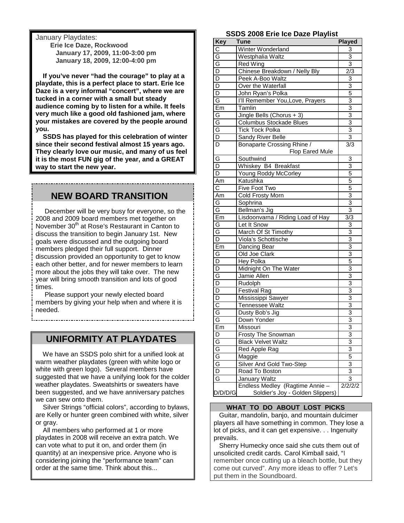January Playdates:

**Erie Ice Daze, Rockwood January 17, 2009, 11:00-3:00 pm January 18, 2009, 12:00-4:00 pm**

**If you've never "had the courage" to play at a playdate, this is a perfect place to start. Erie Ice Daze is a very informal "concert", where we are tucked in a corner with a small but steady audience coming by to listen for a while. It feels very much like a good old fashioned jam, where your mistakes are covered by the people around you.**

**SSDS has played for this celebration of winter since their second festival almost 15 years ago. They clearly love our music, and many of us feel it is the most FUN gig of the year, and a GREAT way to start the new year.**

# **NEW BOARD TRANSITION**

December will be very busy for everyone, so the 2008 and 2009 board members met together on November  $30<sup>th</sup>$  at Rose's Restaurant in Canton to discuss the transition to begin January 1st. New goals were discussed and the outgoing board members pledged their full support. Dinner discussion provided an opportunity to get to know each other better, and for newer members to learn more about the jobs they will take over. The new year will bring smooth transition and lots of good times.

Please support your newly elected board members by giving your help when and where it is needed.

# **UNIFORMITY AT PLAYDATES**

We have an SSDS polo shirt for a unified look at warm weather playdates (green with white logo or white with green logo). Several members have suggested that we have a unifying look for the colder weather playdates. Sweatshirts or sweaters have been suggested, and we have anniversary patches we can sew onto them.

Silver Strings "official colors", according to bylaws, are Kelly or hunter green combined with white, silver or gray.

All members who performed at 1 or more playdates in 2008 will receive an extra patch. We can vote what to put it on, and order them (in quantity) at an inexpensive price. Anyone who is considering joining the "performance team" can order at the same time. Think about this...

#### **SSDS 2008 Erie Ice Daze Playlist**

| Key                     | $1000$ Little too Dug<br>יטויקוטו<br><b>Tune</b>  | <b>Played</b>  |
|-------------------------|---------------------------------------------------|----------------|
| C                       | Winter Wonderland                                 | 3              |
| G                       | Westphalia Waltz                                  | 3              |
| $\overline{G}$          | Red Wing                                          | 3              |
| $\overline{\mathsf{D}}$ | Chinese Breakdown / Nelly Bly                     | 2/3            |
| D                       | Peek A-Boo Waltz                                  | 3              |
| $\overline{D}$          | Over the Waterfall                                | $\overline{3}$ |
| $\overline{D}$          | John Ryan's Polka                                 | 5              |
| G                       | I'll Remember You, Love, Prayers                  | 3              |
| Em                      | Tamlin                                            | 3              |
| G                       |                                                   | 3              |
| G                       | Jingle Bells (Chorus + 3)                         | $\overline{3}$ |
| Ġ                       | Columbus Stockade Blues<br><b>Tick Tock Polka</b> | $\overline{3}$ |
| $\overline{D}$          |                                                   | 3              |
|                         | Sandy River Belle                                 |                |
| D                       | Bonaparte Crossing Rhine /                        | 3/3            |
|                         | Flop Eared Mule                                   |                |
| G                       | Southwind                                         | 3              |
| D                       | Whiskey B4 Breakfast                              | 3              |
| D                       | Young Roddy McCorley                              | 5              |
| Am                      | Katushka                                          | 5              |
| C                       | Five Foot Two                                     | 5              |
| Am                      | Cold Frosty Morn                                  | 3              |
| G                       | Sophrina                                          | 3              |
| G                       | Bellman's Jig                                     | 3              |
| Em                      | Lisdoonvarna / Riding Load of Hay                 | 3/3            |
| G                       | Let It Snow                                       | 3              |
| G                       | March Of St Timothy                               | $\overline{3}$ |
| D                       | Viola's Schottische                               | 3              |
| Em                      | Dancing Bear                                      | 3              |
| G                       | Old Joe Clark                                     | 3              |
| D                       | Hey Polka                                         | 5              |
| D                       | Midnight On The Water                             | $\overline{3}$ |
| G                       | Jamie Allen                                       | $\overline{3}$ |
| D                       | Rudolph                                           | 3              |
| D                       | <b>Festival Rag</b>                               | 3              |
| D                       | Mississippi Sawyer                                | 3              |
| $\overline{C}$          | <b>Tennessee Waltz</b>                            | $\frac{3}{3}$  |
| G                       | Dusty Bob's Jig                                   |                |
| G                       | Down Yonder                                       | 3              |
| Em                      | Missouri                                          | 3              |
| D                       | <b>Frosty The Snowman</b>                         | 3              |
|                         | <b>Black Velvet Waltz</b>                         | $\overline{3}$ |
|                         | Red Apple Rag                                     | 3              |
| $rac{G}{G}$             | Maggie                                            | 5              |
|                         | Silver And Gold Two-Step                          | 3              |
| $\overline{\mathsf{D}}$ | Road To Boston                                    | 3              |
| G                       | January Waltz                                     | 3              |
|                         | Endless Medley (Ragtime Annie                     | 2/2/2/2        |
| D/D/D/G                 | Soldier's Joy - Golden Slippers)                  |                |

#### **WHAT TO DO ABOUT LOST PICKS**

Guitar, mandolin, banjo, and mountain dulcimer players all have something in common. They lose a lot of picks, and it can get expensive. . . Ingenuity prevails.

Sherry Humecky once said she cuts them out of unsolicited credit cards. Carol Kimball said, "I remember once cutting up a bleach bottle, but they come out curved". Any more ideas to offer ? Let's put them in the Soundboard.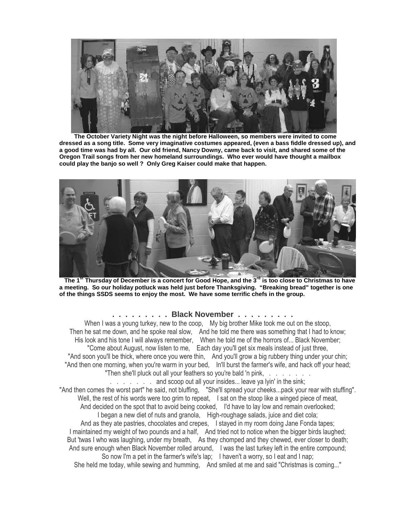

**The October Variety Night was the night before Halloween, so members were invited to come dressed as a song title. Some very imaginative costumes appeared, (even a bass fiddle dressed up), and a good time was had by all. Our old friend, Nancy Downy, came back to visit, and shared some of the Oregon Trail songs from her new homeland surroundings. Who ever would have thought a mailbox could play the banjo so well ? Only Greg Kaiser could make that happen.**



**The 1st Thursday of December is a concert for Good Hope, and the 3rd is too close to Christmas to have a meeting. So our holiday potluck was held just before Thanksgiving. "Breaking bread" together is one of the things SSDS seems to enjoy the most. We have some terrific chefs in the group.**

#### **. . . . . . . . . Black November . . . . . . . . .**

When I was a young turkey, new to the coop, My big brother Mike took me out on the stoop, Then he sat me down, and he spoke real slow, And he told me there was something that I had to know; His look and his tone I will always remember, When he told me of the horrors of... Black November; "Come about August, now listen to me, Each day you'll get six meals instead of just three, "And soon you'll be thick, where once you were thin, And you'll grow a big rubbery thing under your chin; "And then one morning, when you're warm in your bed, In'll burst the farmer's wife, and hack off your head; "Then she'll pluck out all your feathers so you're bald 'n pink, . . . . . . .

. . . . . . . and scoop out all your insides... leave ya lyin' in the sink; "And then comes the worst part" he said, not bluffing, "She'll spread your cheeks...pack your rear with stuffing". Well, the rest of his words were too grim to repeat, I sat on the stoop like a winged piece of meat, And decided on the spot that to avoid being cooked, I'd have to lay low and remain overlooked; I began a new diet of nuts and granola, High-roughage salads, juice and diet cola; And as they ate pastries, chocolates and crepes, I stayed in my room doing Jane Fonda tapes; I maintained my weight of two pounds and a half, And tried not to notice when the bigger birds laughed; But 'twas I who was laughing, under my breath, As they chomped and they chewed, ever closer to death; And sure enough when Black November rolled around, I was the last turkey left in the entire compound; So now I'm a pet in the farmer's wife's lap; I haven't a worry, so I eat and I nap;

She held me today, while sewing and humming, And smiled at me and said "Christmas is coming..."